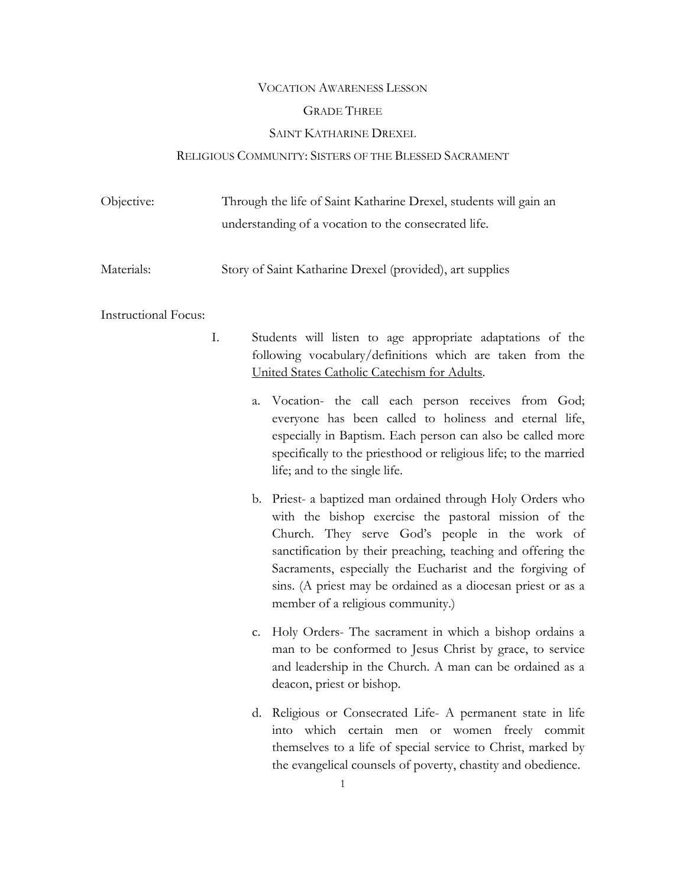#### VOCATION AWARENESS LESSON

# GRADE THREE

### SAINT KATHARINE DREXEL

# RELIGIOUS COMMUNITY: SISTERS OF THE BLESSED SACRAMENT

| Objective: | Through the life of Saint Katharine Drexel, students will gain an |
|------------|-------------------------------------------------------------------|
|            | understanding of a vocation to the consecrated life.              |
|            |                                                                   |

Materials: Story of Saint Katharine Drexel (provided), art supplies

### Instructional Focus:

- I. Students will listen to age appropriate adaptations of the following vocabulary/definitions which are taken from the United States Catholic Catechism for Adults.
	- a. Vocation- the call each person receives from God; everyone has been called to holiness and eternal life, especially in Baptism. Each person can also be called more specifically to the priesthood or religious life; to the married life; and to the single life.
	- b. Priest- a baptized man ordained through Holy Orders who with the bishop exercise the pastoral mission of the Church. They serve God's people in the work of sanctification by their preaching, teaching and offering the Sacraments, especially the Eucharist and the forgiving of sins. (A priest may be ordained as a diocesan priest or as a member of a religious community.)
	- c. Holy Orders- The sacrament in which a bishop ordains a man to be conformed to Jesus Christ by grace, to service and leadership in the Church. A man can be ordained as a deacon, priest or bishop.
	- d. Religious or Consecrated Life- A permanent state in life into which certain men or women freely commit themselves to a life of special service to Christ, marked by the evangelical counsels of poverty, chastity and obedience.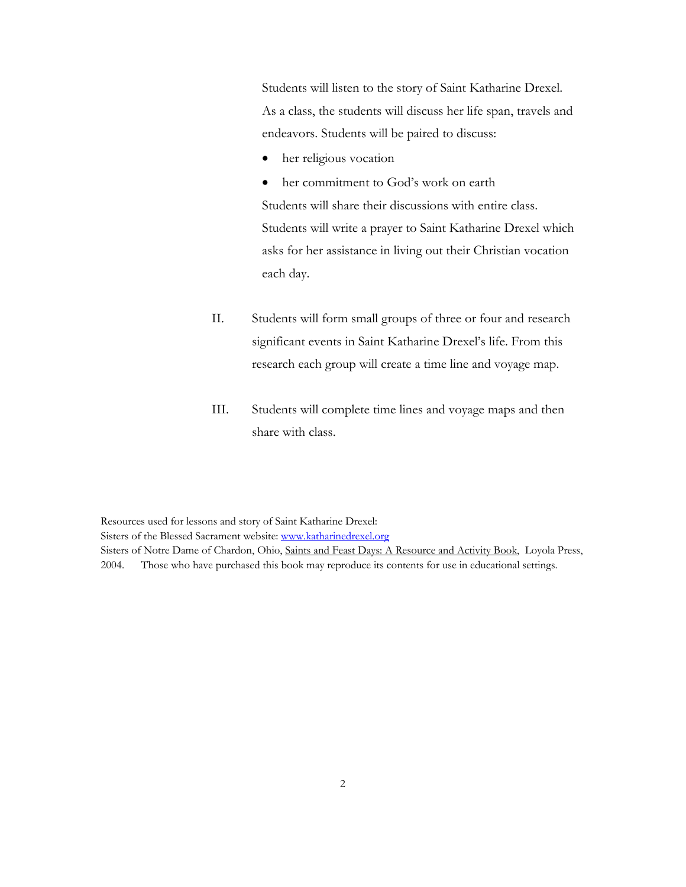Students will listen to the story of Saint Katharine Drexel. As a class, the students will discuss her life span, travels and endeavors. Students will be paired to discuss:

her religious vocation

• her commitment to God's work on earth Students will share their discussions with entire class. Students will write a prayer to Saint Katharine Drexel which asks for her assistance in living out their Christian vocation each day.

- II. Students will form small groups of three or four and research significant events in Saint Katharine Drexel's life. From this research each group will create a time line and voyage map.
- III. Students will complete time lines and voyage maps and then share with class.

Resources used for lessons and story of Saint Katharine Drexel: Sisters of the Blessed Sacrament website: www.katharinedrexel.org Sisters of Notre Dame of Chardon, Ohio, Saints and Feast Days: A Resource and Activity Book, Loyola Press, 2004. Those who have purchased this book may reproduce its contents for use in educational settings.